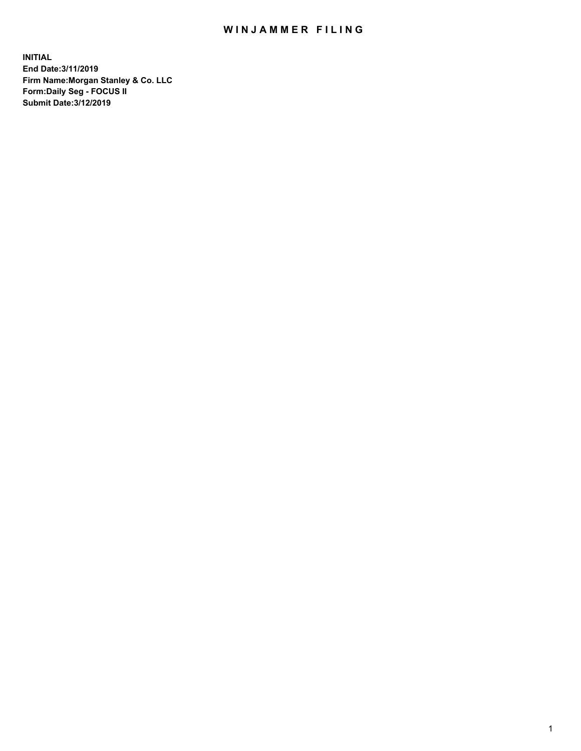## WIN JAMMER FILING

**INITIAL End Date:3/11/2019 Firm Name:Morgan Stanley & Co. LLC Form:Daily Seg - FOCUS II Submit Date:3/12/2019**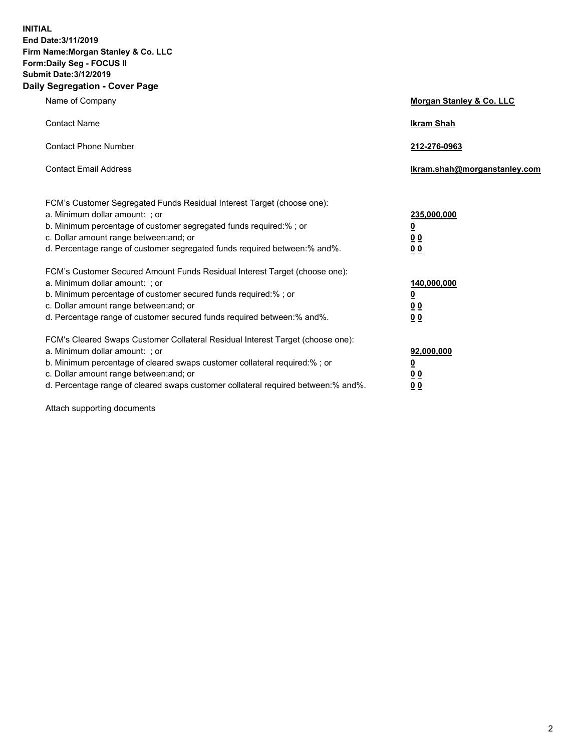**INITIAL End Date:3/11/2019 Firm Name:Morgan Stanley & Co. LLC Form:Daily Seg - FOCUS II Submit Date:3/12/2019 Daily Segregation - Cover Page**

| Name of Company                                                                   | Morgan Stanley & Co. LLC     |
|-----------------------------------------------------------------------------------|------------------------------|
| <b>Contact Name</b>                                                               | <b>Ikram Shah</b>            |
| <b>Contact Phone Number</b>                                                       | 212-276-0963                 |
| <b>Contact Email Address</b>                                                      | Ikram.shah@morganstanley.com |
| FCM's Customer Segregated Funds Residual Interest Target (choose one):            |                              |
| a. Minimum dollar amount: ; or                                                    | 235,000,000                  |
| b. Minimum percentage of customer segregated funds required:% ; or                | <u>0</u>                     |
| c. Dollar amount range between: and; or                                           | <u>0 0</u>                   |
| d. Percentage range of customer segregated funds required between: % and %.       | 0 Q                          |
| FCM's Customer Secured Amount Funds Residual Interest Target (choose one):        |                              |
| a. Minimum dollar amount: ; or                                                    | 140,000,000                  |
| b. Minimum percentage of customer secured funds required:%; or                    | <u>0</u>                     |
| c. Dollar amount range between: and; or                                           | 0 <sub>0</sub>               |
| d. Percentage range of customer secured funds required between:% and%.            | 0 <sub>0</sub>               |
| FCM's Cleared Swaps Customer Collateral Residual Interest Target (choose one):    |                              |
| a. Minimum dollar amount: ; or                                                    | 92,000,000                   |
| b. Minimum percentage of cleared swaps customer collateral required:% ; or        | <u>0</u>                     |
| c. Dollar amount range between: and; or                                           | 0 Q                          |
| d. Percentage range of cleared swaps customer collateral required between:% and%. | 00                           |

Attach supporting documents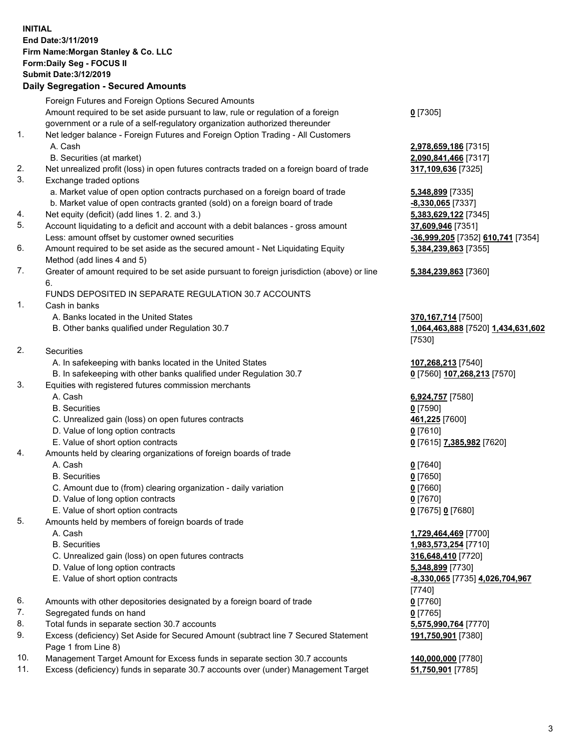## **INITIAL End Date:3/11/2019 Firm Name:Morgan Stanley & Co. LLC Form:Daily Seg - FOCUS II Submit Date:3/12/2019**

## **Daily Segregation - Secured Amounts**

|    | Foreign Futures and Foreign Options Secured Amounts                                                        |                 |
|----|------------------------------------------------------------------------------------------------------------|-----------------|
|    | Amount required to be set aside pursuant to law, rule or regulation of a foreign                           | $0$ [7305]      |
|    | government or a rule of a self-regulatory organization authorized thereunder                               |                 |
| 1. | Net ledger balance - Foreign Futures and Foreign Option Trading - All Customers                            |                 |
|    | A. Cash                                                                                                    | 2,978,65        |
|    | B. Securities (at market)                                                                                  | 2,090,84        |
| 2. | Net unrealized profit (loss) in open futures contracts traded on a foreign board of trade                  | 317,109         |
| 3. | Exchange traded options                                                                                    |                 |
|    | a. Market value of open option contracts purchased on a foreign board of trade                             | 5,348,89        |
|    | b. Market value of open contracts granted (sold) on a foreign board of trade                               | $-8,330,0$      |
| 4. | Net equity (deficit) (add lines 1.2. and 3.)                                                               | 5,383,62        |
| 5. | Account liquidating to a deficit and account with a debit balances - gross amount                          | 37,609,9        |
|    | Less: amount offset by customer owned securities                                                           | $-36,999,$      |
| 6. | Amount required to be set aside as the secured amount - Net Liquidating Equity                             | 5,384,23        |
|    | Method (add lines 4 and 5)                                                                                 |                 |
| 7. | Greater of amount required to be set aside pursuant to foreign jurisdiction (above) or line                | 5,384,23        |
|    | 6.                                                                                                         |                 |
|    | FUNDS DEPOSITED IN SEPARATE REGULATION 30.7 ACCOUNTS                                                       |                 |
| 1. | Cash in banks                                                                                              |                 |
|    | A. Banks located in the United States                                                                      | 370,167         |
|    | B. Other banks qualified under Regulation 30.7                                                             | 1,064,46        |
|    |                                                                                                            | [7530]          |
| 2. | Securities                                                                                                 |                 |
|    | A. In safekeeping with banks located in the United States                                                  | 107,268         |
|    | B. In safekeeping with other banks qualified under Regulation 30.7                                         | $0$ [7560]      |
| 3. | Equities with registered futures commission merchants                                                      |                 |
|    | A. Cash                                                                                                    | 6,924,75        |
|    | <b>B.</b> Securities                                                                                       | $0$ [7590]      |
|    | C. Unrealized gain (loss) on open futures contracts                                                        | 461,225         |
|    | D. Value of long option contracts                                                                          | $0$ [7610]      |
|    | E. Value of short option contracts                                                                         | $0$ [7615]      |
| 4. | Amounts held by clearing organizations of foreign boards of trade                                          |                 |
|    | A. Cash                                                                                                    | $0$ [7640]      |
|    | <b>B.</b> Securities                                                                                       | $0$ [7650]      |
|    | C. Amount due to (from) clearing organization - daily variation                                            | $0$ [7660]      |
|    | D. Value of long option contracts                                                                          | $0$ [7670]      |
|    | E. Value of short option contracts                                                                         | $0$ [7675]      |
| 5. | Amounts held by members of foreign boards of trade                                                         |                 |
|    | A. Cash                                                                                                    | 1,729,46        |
|    | <b>B.</b> Securities                                                                                       | <u>1,983,57</u> |
|    | C. Unrealized gain (loss) on open futures contracts                                                        | 316,648         |
|    | D. Value of long option contracts                                                                          | 5,348,89        |
|    | E. Value of short option contracts                                                                         | $-8,330,0$      |
|    |                                                                                                            | [7740]          |
| 6. | Amounts with other depositories designated by a foreign board of trade                                     | $0$ [7760]      |
| 7. | Segregated funds on hand                                                                                   | $0$ [7765]      |
| 8. | Total funds in separate section 30.7 accounts                                                              | 5,575,99        |
| 9. | Excess (deficiency) Set Aside for Secured Amount (subtract line 7 Secured Statement<br>Page 1 from Line 8) | 191,750         |

- 10. Management Target Amount for Excess funds in separate section 30.7 accounts **140,000,000** [7780]
- 11. Excess (deficiency) funds in separate 30.7 accounts over (under) Management Target **51,750,901** [7785]

**78,659,186** [7315] **90,841,466** [7317] 2. 109.636 [7325]

a. 18,899 [7335] **330,065** [7337] 83,629,122 [7345] 5. 609,946 [7351] Less: amount offset by customer owned securities **-36,999,205** [7352] **610,741** [7354] **5,384,239,863** [7355]

## **5,384,239,863** [7360]

**0,167,714** [7500] B. Other banks qualified under Regulation 30.7 **1,064,463,888** [7520] **1,434,631,602** [7530]

A. 268,213 [7540] B. In safekeeping with other banks qualified under Regulation 30.7 **0** [7560] **107,268,213** [7570]

 A. Cash **6,924,757** [7580] **1,225** [7600] E. Value of short option contracts **0** [7615] **7,385,982** [7620]

E. Value of short option contracts **0** [7675] **0** [7680]

 A. Cash **1,729,464,469** [7700] **83,573,254** [7710] **6,648,410** [7720] **0. 899 [7730]**  E. Value of short option contracts **-8,330,065** [7735] **4,026,704,967** '40] 875,990,764 [7770] **191,750,901** [7380]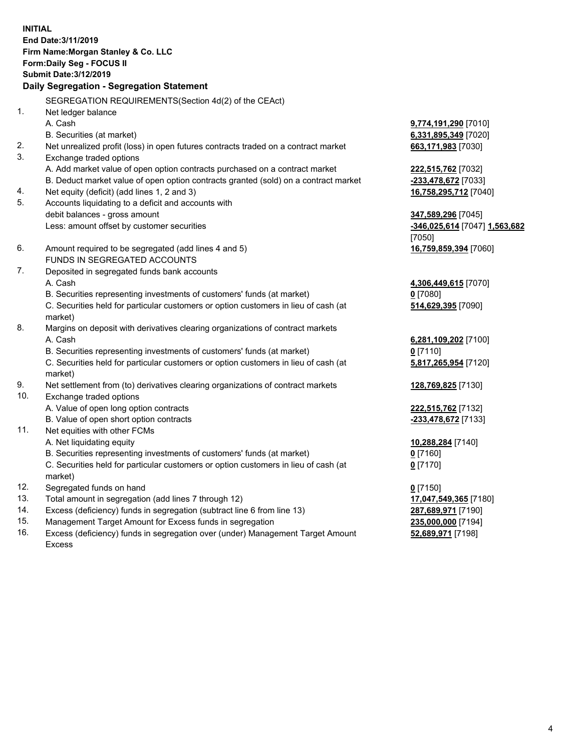**INITIAL End Date:3/11/2019 Firm Name:Morgan Stanley & Co. LLC Form:Daily Seg - FOCUS II Submit Date:3/12/2019 Daily Segregation - Segregation Statement** SEGREGATION REQUIREMENTS(Section 4d(2) of the CEAct) 1. Net ledger balance A. Cash **9,774,191,290** [7010] B. Securities (at market) **6,331,895,349** [7020] 2. Net unrealized profit (loss) in open futures contracts traded on a contract market **663,171,983** [7030] 3. Exchange traded options A. Add market value of open option contracts purchased on a contract market **222,515,762** [7032] B. Deduct market value of open option contracts granted (sold) on a contract market **-233,478,672** [7033] 4. Net equity (deficit) (add lines 1, 2 and 3) **16,758,295,712** [7040] 5. Accounts liquidating to a deficit and accounts with debit balances - gross amount **347,589,296** [7045] Less: amount offset by customer securities **-346,025,614** [7047] **1,563,682** [7050] 6. Amount required to be segregated (add lines 4 and 5) **16,759,859,394** [7060] FUNDS IN SEGREGATED ACCOUNTS 7. Deposited in segregated funds bank accounts A. Cash **4,306,449,615** [7070] B. Securities representing investments of customers' funds (at market) **0** [7080] C. Securities held for particular customers or option customers in lieu of cash (at market) **514,629,395** [7090] 8. Margins on deposit with derivatives clearing organizations of contract markets A. Cash **6,281,109,202** [7100] B. Securities representing investments of customers' funds (at market) **0** [7110] C. Securities held for particular customers or option customers in lieu of cash (at market) **5,817,265,954** [7120] 9. Net settlement from (to) derivatives clearing organizations of contract markets **128,769,825** [7130] 10. Exchange traded options A. Value of open long option contracts **222,515,762** [7132] B. Value of open short option contracts **-233,478,672** [7133] 11. Net equities with other FCMs A. Net liquidating equity **10,288,284** [7140] B. Securities representing investments of customers' funds (at market) **0** [7160] C. Securities held for particular customers or option customers in lieu of cash (at market) **0** [7170] 12. Segregated funds on hand **0** [7150] 13. Total amount in segregation (add lines 7 through 12) **17,047,549,365** [7180] 14. Excess (deficiency) funds in segregation (subtract line 6 from line 13) **287,689,971** [7190]

- 15. Management Target Amount for Excess funds in segregation **235,000,000** [7194]
- 16. Excess (deficiency) funds in segregation over (under) Management Target Amount Excess

**52,689,971** [7198]